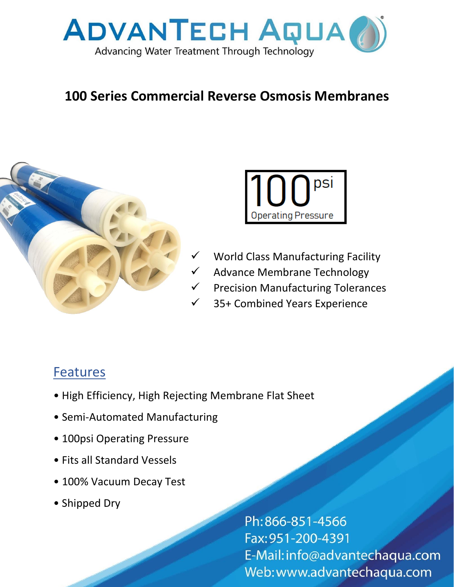

## **100 Series Commercial Reverse Osmosis Membranes**





- World Class Manufacturing Facility
- Advance Membrane Technology
- **Precision Manufacturing Tolerances**
- 35+ Combined Years Experience

## **Features**

- High Efficiency, High Rejecting Membrane Flat Sheet
- Semi-Automated Manufacturing
- 100psi Operating Pressure
- Fits all Standard Vessels
- 100% Vacuum Decay Test
- Shipped Dry

Ph:866-851-4566 Fax: 951-200-4391 E-Mail: info@advantechaqua.com Web: www.advantechaqua.com